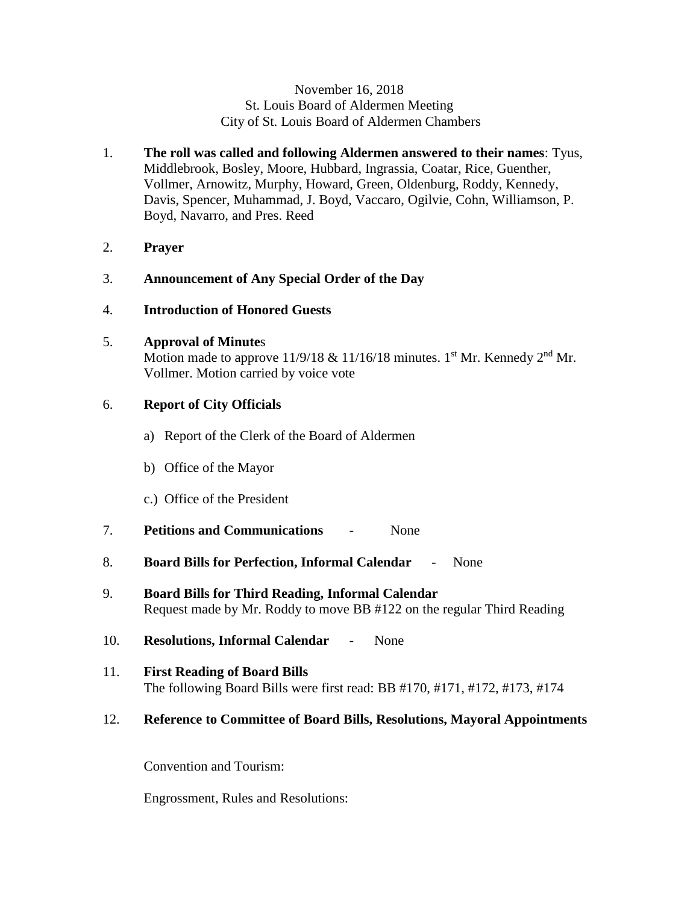#### November 16, 2018 St. Louis Board of Aldermen Meeting City of St. Louis Board of Aldermen Chambers

- 1. **The roll was called and following Aldermen answered to their names**: Tyus, Middlebrook, Bosley, Moore, Hubbard, Ingrassia, Coatar, Rice, Guenther, Vollmer, Arnowitz, Murphy, Howard, Green, Oldenburg, Roddy, Kennedy, Davis, Spencer, Muhammad, J. Boyd, Vaccaro, Ogilvie, Cohn, Williamson, P. Boyd, Navarro, and Pres. Reed
- 2. **Prayer**
- 3. **Announcement of Any Special Order of the Day**
- 4. **Introduction of Honored Guests**
- 5. **Approval of Minute**s

Motion made to approve  $11/9/18 \& 11/16/18$  minutes. 1<sup>st</sup> Mr. Kennedy 2<sup>nd</sup> Mr. Vollmer. Motion carried by voice vote

## 6. **Report of City Officials**

- a) Report of the Clerk of the Board of Aldermen
- b) Office of the Mayor
- c.) Office of the President
- 7. **Petitions and Communications** None
- 8. **Board Bills for Perfection, Informal Calendar**  None
- 9. **Board Bills for Third Reading, Informal Calendar** Request made by Mr. Roddy to move BB #122 on the regular Third Reading
- 10. **Resolutions, Informal Calendar** None
- 11. **First Reading of Board Bills** The following Board Bills were first read: BB #170, #171, #172, #173, #174

#### 12. **Reference to Committee of Board Bills, Resolutions, Mayoral Appointments**

Convention and Tourism:

Engrossment, Rules and Resolutions: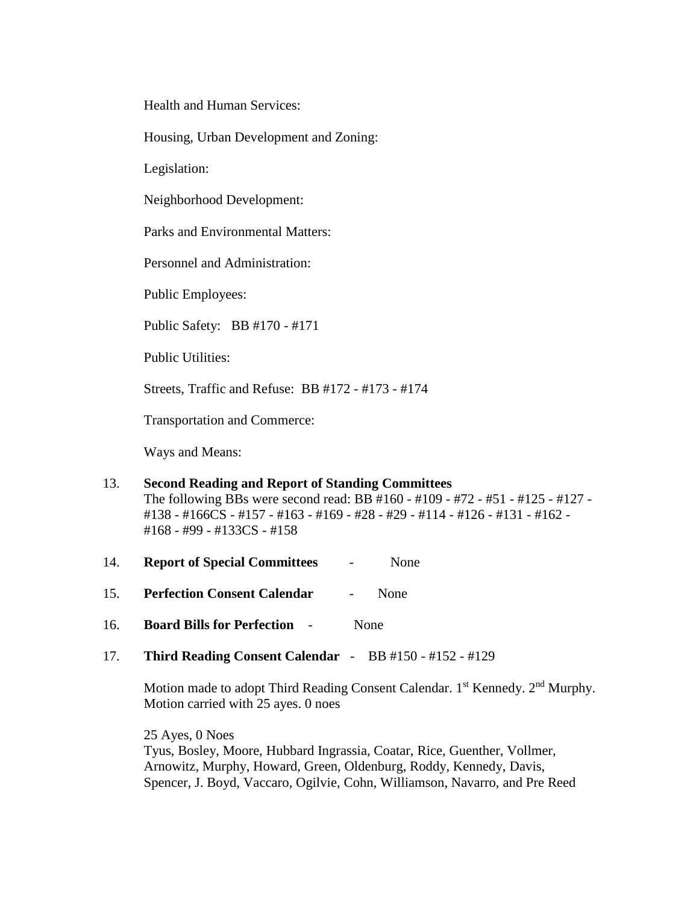Health and Human Services:

Housing, Urban Development and Zoning:

Legislation:

Neighborhood Development:

Parks and Environmental Matters:

Personnel and Administration:

Public Employees:

Public Safety: BB #170 - #171

Public Utilities:

Streets, Traffic and Refuse: BB #172 - #173 - #174

Transportation and Commerce:

Ways and Means:

| 13. | <b>Second Reading and Report of Standing Committees</b>                        |
|-----|--------------------------------------------------------------------------------|
|     | The following BBs were second read: BB #160 - #109 - #72 - #51 - #125 - #127 - |
|     | #138 - #166CS - #157 - #163 - #169 - #28 - #29 - #114 - #126 - #131 - #162 -   |
|     | $\#168 - \#99 - \#133CS - \#158$                                               |

- 14. **Report of Special Committees** None
- 15. **Perfection Consent Calendar** None
- 16. **Board Bills for Perfection** None
- 17. **Third Reading Consent Calendar** BB #150 #152 #129

Motion made to adopt Third Reading Consent Calendar. 1<sup>st</sup> Kennedy. 2<sup>nd</sup> Murphy. Motion carried with 25 ayes. 0 noes

25 Ayes, 0 Noes Tyus, Bosley, Moore, Hubbard Ingrassia, Coatar, Rice, Guenther, Vollmer, Arnowitz, Murphy, Howard, Green, Oldenburg, Roddy, Kennedy, Davis, Spencer, J. Boyd, Vaccaro, Ogilvie, Cohn, Williamson, Navarro, and Pre Reed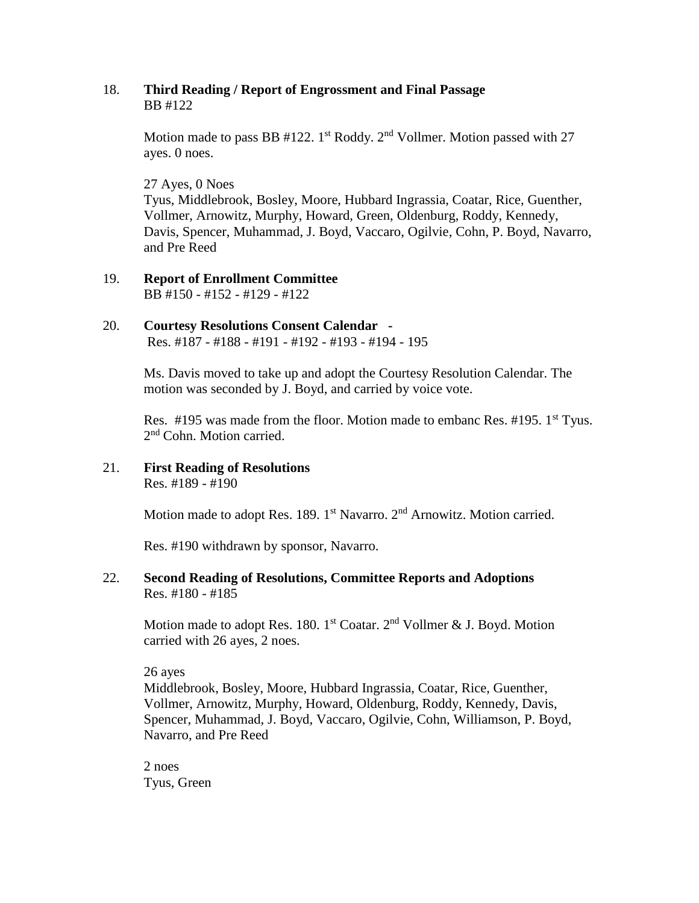## 18. **Third Reading / Report of Engrossment and Final Passage** BB #122

Motion made to pass BB #122. 1<sup>st</sup> Roddy. 2<sup>nd</sup> Vollmer. Motion passed with 27 ayes. 0 noes.

27 Ayes, 0 Noes

Tyus, Middlebrook, Bosley, Moore, Hubbard Ingrassia, Coatar, Rice, Guenther, Vollmer, Arnowitz, Murphy, Howard, Green, Oldenburg, Roddy, Kennedy, Davis, Spencer, Muhammad, J. Boyd, Vaccaro, Ogilvie, Cohn, P. Boyd, Navarro, and Pre Reed

19. **Report of Enrollment Committee** BB #150 - #152 - #129 - #122

# 20. **Courtesy Resolutions Consent Calendar -**

Res. #187 - #188 - #191 - #192 - #193 - #194 - 195

Ms. Davis moved to take up and adopt the Courtesy Resolution Calendar. The motion was seconded by J. Boyd, and carried by voice vote.

Res. #195 was made from the floor. Motion made to embanc Res. #195. 1<sup>st</sup> Tyus. 2<sup>nd</sup> Cohn. Motion carried.

21. **First Reading of Resolutions** Res. #189 - #190

Motion made to adopt Res. 189.  $1<sup>st</sup>$  Navarro.  $2<sup>nd</sup>$  Arnowitz. Motion carried.

Res. #190 withdrawn by sponsor, Navarro.

#### 22. **Second Reading of Resolutions, Committee Reports and Adoptions** Res. #180 - #185

Motion made to adopt Res. 180. 1<sup>st</sup> Coatar. 2<sup>nd</sup> Vollmer & J. Boyd. Motion carried with 26 ayes, 2 noes.

26 ayes

Middlebrook, Bosley, Moore, Hubbard Ingrassia, Coatar, Rice, Guenther, Vollmer, Arnowitz, Murphy, Howard, Oldenburg, Roddy, Kennedy, Davis, Spencer, Muhammad, J. Boyd, Vaccaro, Ogilvie, Cohn, Williamson, P. Boyd, Navarro, and Pre Reed

2 noes Tyus, Green